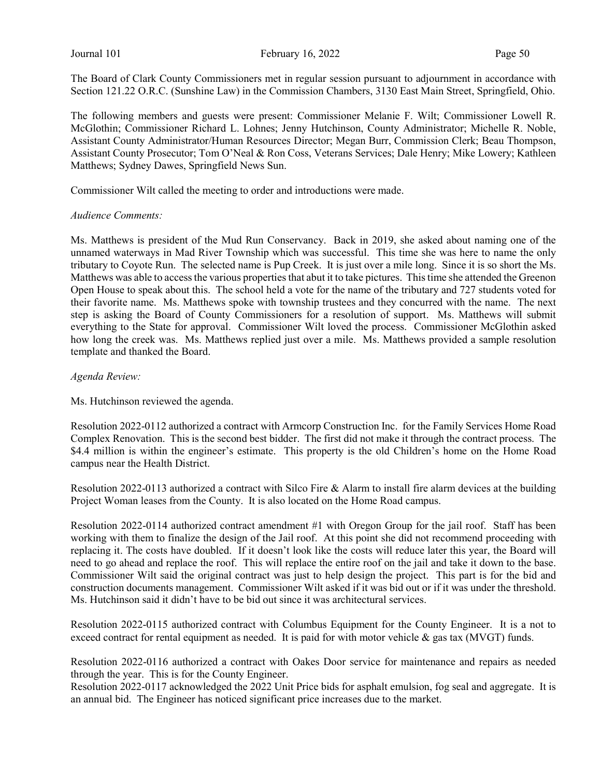The Board of Clark County Commissioners met in regular session pursuant to adjournment in accordance with Section 121.22 O.R.C. (Sunshine Law) in the Commission Chambers, 3130 East Main Street, Springfield, Ohio.

The following members and guests were present: Commissioner Melanie F. Wilt; Commissioner Lowell R. McGlothin; Commissioner Richard L. Lohnes; Jenny Hutchinson, County Administrator; Michelle R. Noble, Assistant County Administrator/Human Resources Director; Megan Burr, Commission Clerk; Beau Thompson, Assistant County Prosecutor; Tom O'Neal & Ron Coss, Veterans Services; Dale Henry; Mike Lowery; Kathleen Matthews; Sydney Dawes, Springfield News Sun.

Commissioner Wilt called the meeting to order and introductions were made.

#### Audience Comments:

Ms. Matthews is president of the Mud Run Conservancy. Back in 2019, she asked about naming one of the unnamed waterways in Mad River Township which was successful. This time she was here to name the only tributary to Coyote Run. The selected name is Pup Creek. It is just over a mile long. Since it is so short the Ms. Matthews was able to access the various properties that abut it to take pictures. This time she attended the Greenon Open House to speak about this. The school held a vote for the name of the tributary and 727 students voted for their favorite name. Ms. Matthews spoke with township trustees and they concurred with the name. The next step is asking the Board of County Commissioners for a resolution of support. Ms. Matthews will submit everything to the State for approval. Commissioner Wilt loved the process. Commissioner McGlothin asked how long the creek was. Ms. Matthews replied just over a mile. Ms. Matthews provided a sample resolution template and thanked the Board.

### Agenda Review:

Ms. Hutchinson reviewed the agenda.

Resolution 2022-0112 authorized a contract with Armcorp Construction Inc. for the Family Services Home Road Complex Renovation. This is the second best bidder. The first did not make it through the contract process. The \$4.4 million is within the engineer's estimate. This property is the old Children's home on the Home Road campus near the Health District.

Resolution 2022-0113 authorized a contract with Silco Fire & Alarm to install fire alarm devices at the building Project Woman leases from the County. It is also located on the Home Road campus.

Resolution 2022-0114 authorized contract amendment #1 with Oregon Group for the jail roof. Staff has been working with them to finalize the design of the Jail roof. At this point she did not recommend proceeding with replacing it. The costs have doubled. If it doesn't look like the costs will reduce later this year, the Board will need to go ahead and replace the roof. This will replace the entire roof on the jail and take it down to the base. Commissioner Wilt said the original contract was just to help design the project. This part is for the bid and construction documents management. Commissioner Wilt asked if it was bid out or if it was under the threshold. Ms. Hutchinson said it didn't have to be bid out since it was architectural services.

Resolution 2022-0115 authorized contract with Columbus Equipment for the County Engineer. It is a not to exceed contract for rental equipment as needed. It is paid for with motor vehicle  $\&$  gas tax (MVGT) funds.

Resolution 2022-0116 authorized a contract with Oakes Door service for maintenance and repairs as needed through the year. This is for the County Engineer.

Resolution 2022-0117 acknowledged the 2022 Unit Price bids for asphalt emulsion, fog seal and aggregate. It is an annual bid. The Engineer has noticed significant price increases due to the market.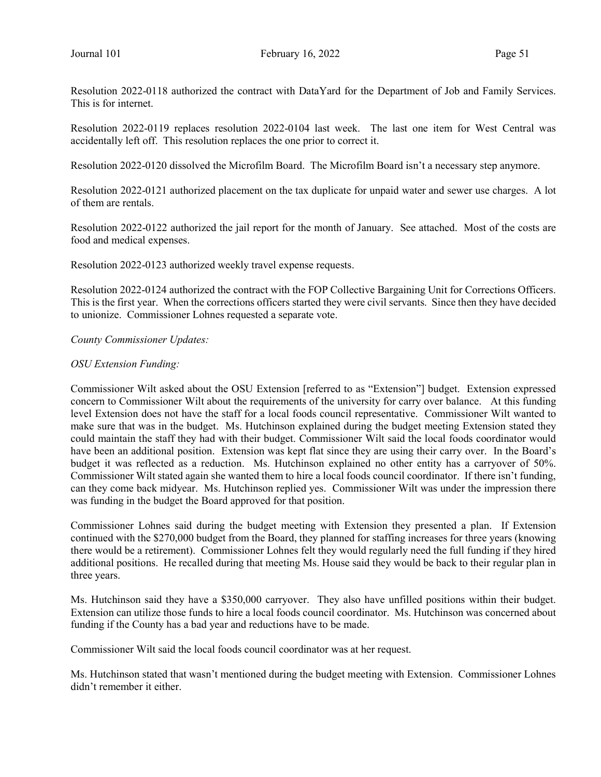Resolution 2022-0118 authorized the contract with DataYard for the Department of Job and Family Services. This is for internet.

Resolution 2022-0119 replaces resolution 2022-0104 last week. The last one item for West Central was accidentally left off. This resolution replaces the one prior to correct it.

Resolution 2022-0120 dissolved the Microfilm Board. The Microfilm Board isn't a necessary step anymore.

Resolution 2022-0121 authorized placement on the tax duplicate for unpaid water and sewer use charges. A lot of them are rentals.

Resolution 2022-0122 authorized the jail report for the month of January. See attached. Most of the costs are food and medical expenses.

Resolution 2022-0123 authorized weekly travel expense requests.

Resolution 2022-0124 authorized the contract with the FOP Collective Bargaining Unit for Corrections Officers. This is the first year. When the corrections officers started they were civil servants. Since then they have decided to unionize. Commissioner Lohnes requested a separate vote.

County Commissioner Updates:

#### OSU Extension Funding:

Commissioner Wilt asked about the OSU Extension [referred to as "Extension"] budget. Extension expressed concern to Commissioner Wilt about the requirements of the university for carry over balance. At this funding level Extension does not have the staff for a local foods council representative. Commissioner Wilt wanted to make sure that was in the budget. Ms. Hutchinson explained during the budget meeting Extension stated they could maintain the staff they had with their budget. Commissioner Wilt said the local foods coordinator would have been an additional position. Extension was kept flat since they are using their carry over. In the Board's budget it was reflected as a reduction. Ms. Hutchinson explained no other entity has a carryover of 50%. Commissioner Wilt stated again she wanted them to hire a local foods council coordinator. If there isn't funding, can they come back midyear. Ms. Hutchinson replied yes. Commissioner Wilt was under the impression there was funding in the budget the Board approved for that position.

Commissioner Lohnes said during the budget meeting with Extension they presented a plan. If Extension continued with the \$270,000 budget from the Board, they planned for staffing increases for three years (knowing there would be a retirement). Commissioner Lohnes felt they would regularly need the full funding if they hired additional positions. He recalled during that meeting Ms. House said they would be back to their regular plan in three years.

Ms. Hutchinson said they have a \$350,000 carryover. They also have unfilled positions within their budget. Extension can utilize those funds to hire a local foods council coordinator. Ms. Hutchinson was concerned about funding if the County has a bad year and reductions have to be made.

Commissioner Wilt said the local foods council coordinator was at her request.

Ms. Hutchinson stated that wasn't mentioned during the budget meeting with Extension. Commissioner Lohnes didn't remember it either.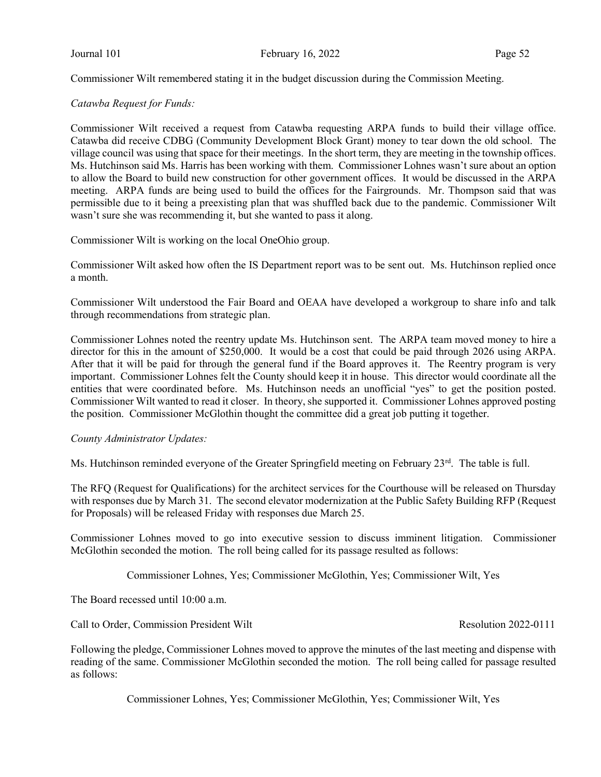Commissioner Wilt remembered stating it in the budget discussion during the Commission Meeting.

### Catawba Request for Funds:

Commissioner Wilt received a request from Catawba requesting ARPA funds to build their village office. Catawba did receive CDBG (Community Development Block Grant) money to tear down the old school. The village council was using that space for their meetings. In the short term, they are meeting in the township offices. Ms. Hutchinson said Ms. Harris has been working with them. Commissioner Lohnes wasn't sure about an option to allow the Board to build new construction for other government offices. It would be discussed in the ARPA meeting. ARPA funds are being used to build the offices for the Fairgrounds. Mr. Thompson said that was permissible due to it being a preexisting plan that was shuffled back due to the pandemic. Commissioner Wilt wasn't sure she was recommending it, but she wanted to pass it along.

Commissioner Wilt is working on the local OneOhio group.

Commissioner Wilt asked how often the IS Department report was to be sent out. Ms. Hutchinson replied once a month.

Commissioner Wilt understood the Fair Board and OEAA have developed a workgroup to share info and talk through recommendations from strategic plan.

Commissioner Lohnes noted the reentry update Ms. Hutchinson sent. The ARPA team moved money to hire a director for this in the amount of \$250,000. It would be a cost that could be paid through 2026 using ARPA. After that it will be paid for through the general fund if the Board approves it. The Reentry program is very important. Commissioner Lohnes felt the County should keep it in house. This director would coordinate all the entities that were coordinated before. Ms. Hutchinson needs an unofficial "yes" to get the position posted. Commissioner Wilt wanted to read it closer. In theory, she supported it. Commissioner Lohnes approved posting the position. Commissioner McGlothin thought the committee did a great job putting it together.

#### County Administrator Updates:

Ms. Hutchinson reminded everyone of the Greater Springfield meeting on February 23<sup>rd</sup>. The table is full.

The RFQ (Request for Qualifications) for the architect services for the Courthouse will be released on Thursday with responses due by March 31. The second elevator modernization at the Public Safety Building RFP (Request for Proposals) will be released Friday with responses due March 25.

Commissioner Lohnes moved to go into executive session to discuss imminent litigation. Commissioner McGlothin seconded the motion. The roll being called for its passage resulted as follows:

Commissioner Lohnes, Yes; Commissioner McGlothin, Yes; Commissioner Wilt, Yes

The Board recessed until 10:00 a.m.

Call to Order, Commission President Wilt Resolution 2022-0111

Following the pledge, Commissioner Lohnes moved to approve the minutes of the last meeting and dispense with reading of the same. Commissioner McGlothin seconded the motion. The roll being called for passage resulted as follows:

Commissioner Lohnes, Yes; Commissioner McGlothin, Yes; Commissioner Wilt, Yes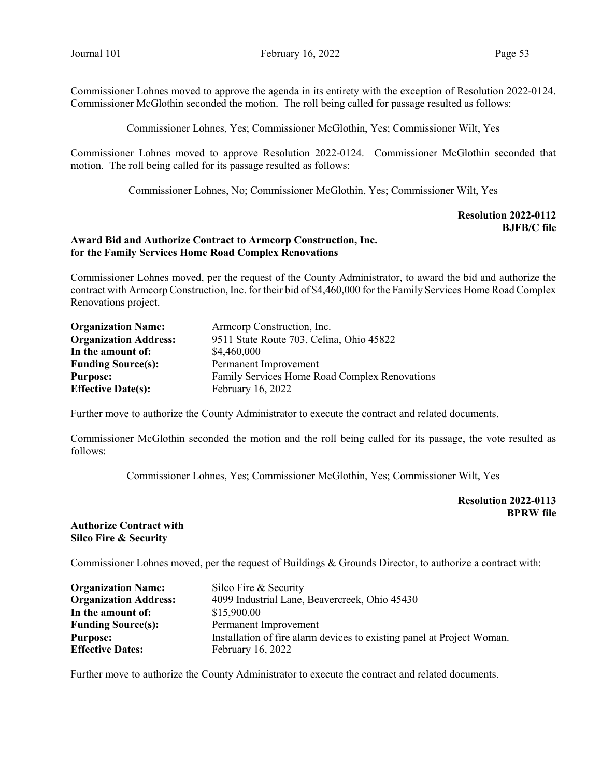Commissioner Lohnes moved to approve the agenda in its entirety with the exception of Resolution 2022-0124. Commissioner McGlothin seconded the motion. The roll being called for passage resulted as follows:

Commissioner Lohnes, Yes; Commissioner McGlothin, Yes; Commissioner Wilt, Yes

Commissioner Lohnes moved to approve Resolution 2022-0124. Commissioner McGlothin seconded that motion. The roll being called for its passage resulted as follows:

Commissioner Lohnes, No; Commissioner McGlothin, Yes; Commissioner Wilt, Yes

### Resolution 2022-0112 BJFB/C file

#### Award Bid and Authorize Contract to Armcorp Construction, Inc. for the Family Services Home Road Complex Renovations

Commissioner Lohnes moved, per the request of the County Administrator, to award the bid and authorize the contract with Armcorp Construction, Inc. for their bid of \$4,460,000 for the Family Services Home Road Complex Renovations project.

| <b>Organization Name:</b>    | Armeorp Construction, Inc.                    |  |
|------------------------------|-----------------------------------------------|--|
| <b>Organization Address:</b> | 9511 State Route 703, Celina, Ohio 45822      |  |
| In the amount of:            | \$4,460,000                                   |  |
| <b>Funding Source(s):</b>    | Permanent Improvement                         |  |
| <b>Purpose:</b>              | Family Services Home Road Complex Renovations |  |
| <b>Effective Date(s):</b>    | February 16, 2022                             |  |

Further move to authorize the County Administrator to execute the contract and related documents.

Commissioner McGlothin seconded the motion and the roll being called for its passage, the vote resulted as follows:

Commissioner Lohnes, Yes; Commissioner McGlothin, Yes; Commissioner Wilt, Yes

Resolution 2022-0113 BPRW file

### Authorize Contract with Silco Fire & Security

Commissioner Lohnes moved, per the request of Buildings & Grounds Director, to authorize a contract with:

| <b>Organization Name:</b>    | Silco Fire & Security                                                  |
|------------------------------|------------------------------------------------------------------------|
| <b>Organization Address:</b> | 4099 Industrial Lane, Beavercreek, Ohio 45430                          |
| In the amount of:            | \$15,900.00                                                            |
| <b>Funding Source(s):</b>    | Permanent Improvement                                                  |
| <b>Purpose:</b>              | Installation of fire alarm devices to existing panel at Project Woman. |
| <b>Effective Dates:</b>      | February 16, 2022                                                      |

Further move to authorize the County Administrator to execute the contract and related documents.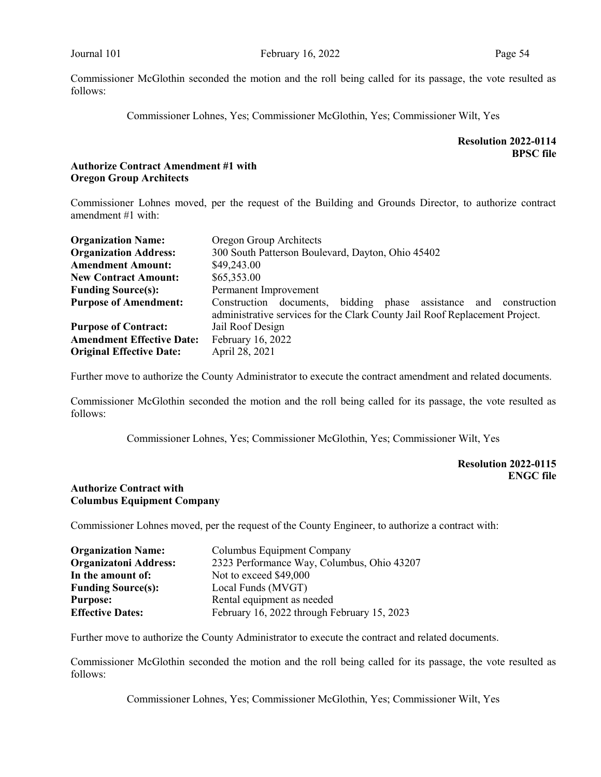Commissioner Lohnes, Yes; Commissioner McGlothin, Yes; Commissioner Wilt, Yes

# Resolution 2022-0114 BPSC file

### Authorize Contract Amendment #1 with Oregon Group Architects

Commissioner Lohnes moved, per the request of the Building and Grounds Director, to authorize contract amendment #1 with:

| <b>Organization Name:</b>        | Oregon Group Architects                                                                                                                                |  |  |
|----------------------------------|--------------------------------------------------------------------------------------------------------------------------------------------------------|--|--|
| <b>Organization Address:</b>     | 300 South Patterson Boulevard, Dayton, Ohio 45402                                                                                                      |  |  |
| <b>Amendment Amount:</b>         | \$49,243.00                                                                                                                                            |  |  |
| <b>New Contract Amount:</b>      | \$65,353.00                                                                                                                                            |  |  |
| <b>Funding Source(s):</b>        | Permanent Improvement                                                                                                                                  |  |  |
| <b>Purpose of Amendment:</b>     | bidding phase assistance and<br>Construction documents,<br>construction<br>administrative services for the Clark County Jail Roof Replacement Project. |  |  |
| <b>Purpose of Contract:</b>      | Jail Roof Design                                                                                                                                       |  |  |
| <b>Amendment Effective Date:</b> | February 16, 2022                                                                                                                                      |  |  |
| <b>Original Effective Date:</b>  | April 28, 2021                                                                                                                                         |  |  |

Further move to authorize the County Administrator to execute the contract amendment and related documents.

Commissioner McGlothin seconded the motion and the roll being called for its passage, the vote resulted as follows:

Commissioner Lohnes, Yes; Commissioner McGlothin, Yes; Commissioner Wilt, Yes

# Resolution 2022-0115 ENGC file

### Authorize Contract with Columbus Equipment Company

Commissioner Lohnes moved, per the request of the County Engineer, to authorize a contract with:

| <b>Organization Name:</b>    | Columbus Equipment Company                  |
|------------------------------|---------------------------------------------|
| <b>Organizatoni Address:</b> | 2323 Performance Way, Columbus, Ohio 43207  |
| In the amount of:            | Not to exceed \$49,000                      |
| <b>Funding Source(s):</b>    | Local Funds (MVGT)                          |
| <b>Purpose:</b>              | Rental equipment as needed                  |
| <b>Effective Dates:</b>      | February 16, 2022 through February 15, 2023 |

Further move to authorize the County Administrator to execute the contract and related documents.

Commissioner McGlothin seconded the motion and the roll being called for its passage, the vote resulted as follows:

Commissioner Lohnes, Yes; Commissioner McGlothin, Yes; Commissioner Wilt, Yes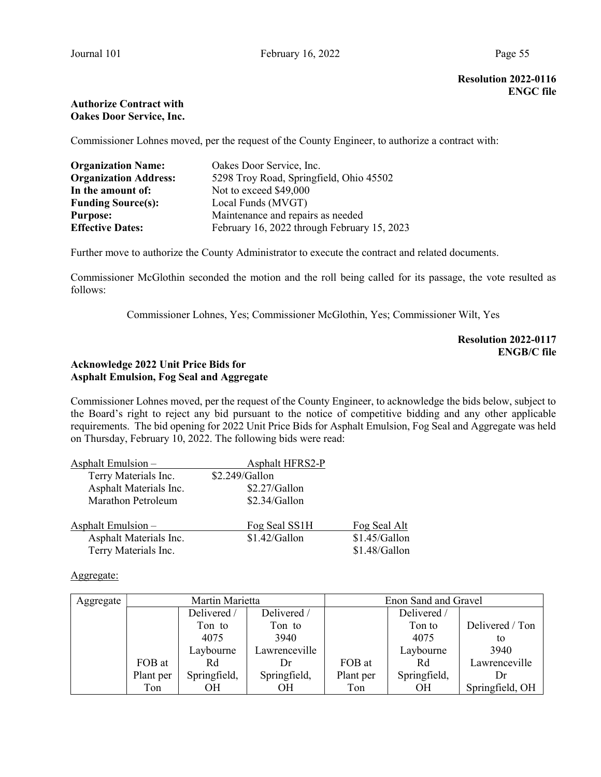### Authorize Contract with Oakes Door Service, Inc.

Commissioner Lohnes moved, per the request of the County Engineer, to authorize a contract with:

| <b>Organization Name:</b>    | Oakes Door Service, Inc.                    |
|------------------------------|---------------------------------------------|
| <b>Organization Address:</b> | 5298 Troy Road, Springfield, Ohio 45502     |
| In the amount of:            | Not to exceed \$49,000                      |
| <b>Funding Source(s):</b>    | Local Funds (MVGT)                          |
| <b>Purpose:</b>              | Maintenance and repairs as needed           |
| <b>Effective Dates:</b>      | February 16, 2022 through February 15, 2023 |

Further move to authorize the County Administrator to execute the contract and related documents.

Commissioner McGlothin seconded the motion and the roll being called for its passage, the vote resulted as follows:

Commissioner Lohnes, Yes; Commissioner McGlothin, Yes; Commissioner Wilt, Yes

Resolution 2022-0117 ENGB/C file

# Acknowledge 2022 Unit Price Bids for Asphalt Emulsion, Fog Seal and Aggregate

Commissioner Lohnes moved, per the request of the County Engineer, to acknowledge the bids below, subject to the Board's right to reject any bid pursuant to the notice of competitive bidding and any other applicable requirements. The bid opening for 2022 Unit Price Bids for Asphalt Emulsion, Fog Seal and Aggregate was held on Thursday, February 10, 2022. The following bids were read:

| Asphalt Emulsion -        | <b>Asphalt HFRS2-P</b> |                 |
|---------------------------|------------------------|-----------------|
| Terry Materials Inc.      | \$2.249/Gallon         |                 |
| Asphalt Materials Inc.    | \$2.27/Gallon          |                 |
| <b>Marathon Petroleum</b> | \$2.34/Gallon          |                 |
| Asphalt Emulsion $-$      | Fog Seal SS1H          | Fog Seal Alt    |
| Asphalt Materials Inc.    | $$1.42/G$ allon        | $$1.45/G$ allon |
| Terry Materials Inc.      |                        | \$1.48/Gallon   |

### Aggregate:

| Aggregate | Martin Marietta |              |               | Enon Sand and Gravel |              |                 |
|-----------|-----------------|--------------|---------------|----------------------|--------------|-----------------|
|           |                 | Delivered /  | Delivered /   |                      | Delivered /  |                 |
|           |                 | Ton to       | Ton to        |                      | Ton to       | Delivered / Ton |
|           |                 | 4075         | 3940          |                      | 4075         | to              |
|           |                 | Laybourne    | Lawrenceville |                      | Laybourne    | 3940            |
|           | FOB at          | Rd           | Dr.           | FOB at               | Rd           | Lawrenceville   |
|           | Plant per       | Springfield, | Springfield,  | Plant per            | Springfield, | Dr              |
|           | Ton             | OН           | OН            | Ton                  | OН           | Springfield, OH |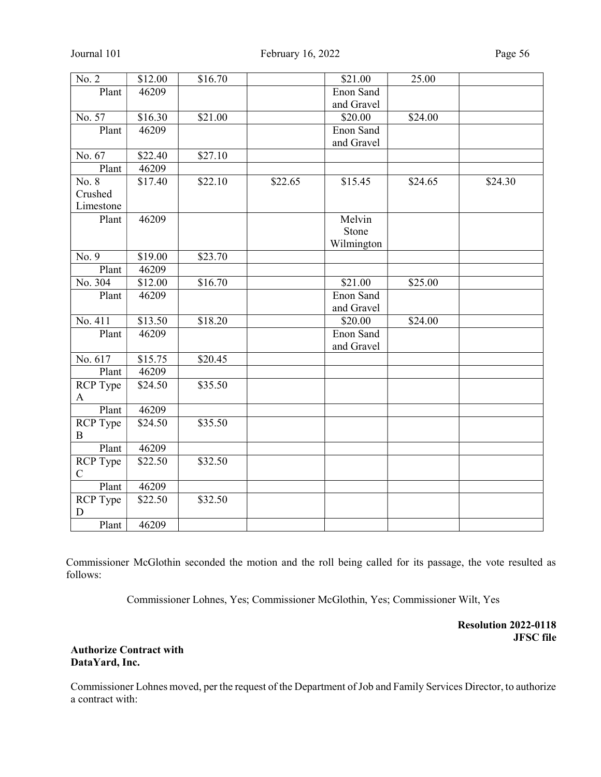| $\overline{N}$ o. 2 | \$12.00 | \$16.70 |         | \$21.00    | 25.00   |         |
|---------------------|---------|---------|---------|------------|---------|---------|
| Plant               | 46209   |         |         | Enon Sand  |         |         |
|                     |         |         |         | and Gravel |         |         |
| No. 57              | \$16.30 | \$21.00 |         | \$20.00    | \$24.00 |         |
| Plant               | 46209   |         |         | Enon Sand  |         |         |
|                     |         |         |         | and Gravel |         |         |
| No. 67              | \$22.40 | \$27.10 |         |            |         |         |
| Plant               | 46209   |         |         |            |         |         |
| No. 8               | \$17.40 | \$22.10 | \$22.65 | \$15.45    | \$24.65 | \$24.30 |
| Crushed             |         |         |         |            |         |         |
| Limestone           |         |         |         |            |         |         |
| Plant               | 46209   |         |         | Melvin     |         |         |
|                     |         |         |         | Stone      |         |         |
|                     |         |         |         | Wilmington |         |         |
| No. 9               | \$19.00 | \$23.70 |         |            |         |         |
| Plant               | 46209   |         |         |            |         |         |
| No. 304             | \$12.00 | \$16.70 |         | \$21.00    | \$25.00 |         |
| Plant               | 46209   |         |         | Enon Sand  |         |         |
|                     |         |         |         | and Gravel |         |         |
| No. 411             | \$13.50 | \$18.20 |         | \$20.00    | \$24.00 |         |
| Plant               | 46209   |         |         | Enon Sand  |         |         |
|                     |         |         |         | and Gravel |         |         |
| No. 617             | \$15.75 | \$20.45 |         |            |         |         |
| Plant               | 46209   |         |         |            |         |         |
| RCP Type            | \$24.50 | \$35.50 |         |            |         |         |
| $\mathbf{A}$        |         |         |         |            |         |         |
| Plant               | 46209   |         |         |            |         |         |
| RCP Type            | \$24.50 | \$35.50 |         |            |         |         |
| B                   |         |         |         |            |         |         |
| Plant               | 46209   |         |         |            |         |         |
| RCP Type            | \$22.50 | \$32.50 |         |            |         |         |
| $\mathbf C$         |         |         |         |            |         |         |
| Plant               | 46209   |         |         |            |         |         |
| RCP Type            | \$22.50 | \$32.50 |         |            |         |         |
| D                   |         |         |         |            |         |         |
| Plant               | 46209   |         |         |            |         |         |

Commissioner Lohnes, Yes; Commissioner McGlothin, Yes; Commissioner Wilt, Yes

Resolution 2022-0118 JFSC file

## Authorize Contract with DataYard, Inc.

Commissioner Lohnes moved, per the request of the Department of Job and Family Services Director, to authorize a contract with: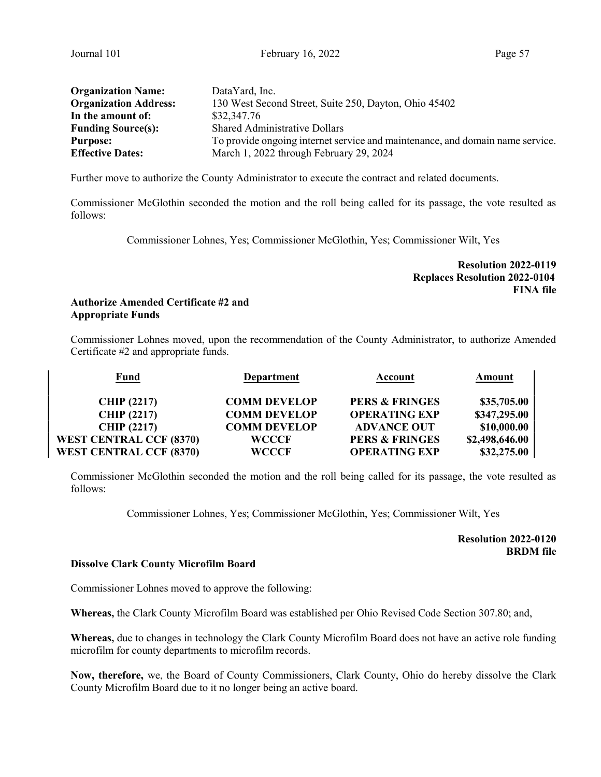|  | Page: |
|--|-------|
|  |       |

| <b>Organization Name:</b>    | DataYard, Inc.                                                                |
|------------------------------|-------------------------------------------------------------------------------|
| <b>Organization Address:</b> | 130 West Second Street, Suite 250, Dayton, Ohio 45402                         |
| In the amount of:            | \$32,347.76                                                                   |
| <b>Funding Source(s):</b>    | <b>Shared Administrative Dollars</b>                                          |
| <b>Purpose:</b>              | To provide ongoing internet service and maintenance, and domain name service. |
| <b>Effective Dates:</b>      | March 1, 2022 through February 29, 2024                                       |

Further move to authorize the County Administrator to execute the contract and related documents.

Commissioner McGlothin seconded the motion and the roll being called for its passage, the vote resulted as follows:

Commissioner Lohnes, Yes; Commissioner McGlothin, Yes; Commissioner Wilt, Yes

Resolution 2022-0119 Replaces Resolution 2022-0104 FINA file

# Authorize Amended Certificate #2 and Appropriate Funds

Commissioner Lohnes moved, upon the recommendation of the County Administrator, to authorize Amended Certificate #2 and appropriate funds.

| <b>Fund</b>                    | <b>Department</b>   | Account                   | Amount         |
|--------------------------------|---------------------|---------------------------|----------------|
| <b>CHIP (2217)</b>             | <b>COMM DEVELOP</b> | <b>PERS &amp; FRINGES</b> | \$35,705.00    |
| <b>CHIP (2217)</b>             | <b>COMM DEVELOP</b> | <b>OPERATING EXP</b>      | \$347,295.00   |
| <b>CHIP (2217)</b>             | <b>COMM DEVELOP</b> | <b>ADVANCE OUT</b>        | \$10,000.00    |
| <b>WEST CENTRAL CCF (8370)</b> | <b>WCCCF</b>        | <b>PERS &amp; FRINGES</b> | \$2,498,646.00 |
| <b>WEST CENTRAL CCF (8370)</b> | <b>WCCCF</b>        | <b>OPERATING EXP</b>      | \$32,275.00    |

Commissioner McGlothin seconded the motion and the roll being called for its passage, the vote resulted as follows:

Commissioner Lohnes, Yes; Commissioner McGlothin, Yes; Commissioner Wilt, Yes

Resolution 2022-0120 BRDM file

## Dissolve Clark County Microfilm Board

Commissioner Lohnes moved to approve the following:

Whereas, the Clark County Microfilm Board was established per Ohio Revised Code Section 307.80; and,

Whereas, due to changes in technology the Clark County Microfilm Board does not have an active role funding microfilm for county departments to microfilm records.

Now, therefore, we, the Board of County Commissioners, Clark County, Ohio do hereby dissolve the Clark County Microfilm Board due to it no longer being an active board.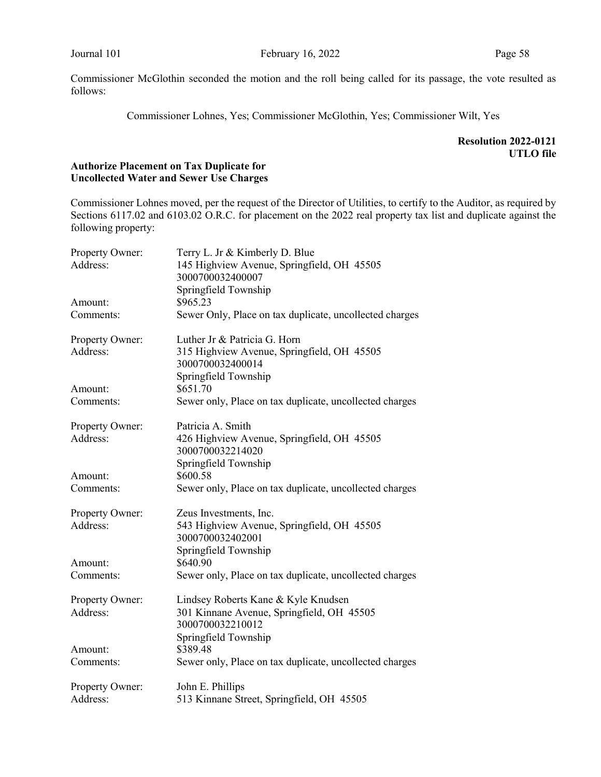Commissioner Lohnes, Yes; Commissioner McGlothin, Yes; Commissioner Wilt, Yes

Resolution 2022-0121 UTLO file

# Authorize Placement on Tax Duplicate for Uncollected Water and Sewer Use Charges

Commissioner Lohnes moved, per the request of the Director of Utilities, to certify to the Auditor, as required by Sections 6117.02 and 6103.02 O.R.C. for placement on the 2022 real property tax list and duplicate against the following property:

| Property Owner: | Terry L. Jr & Kimberly D. Blue                                 |
|-----------------|----------------------------------------------------------------|
| Address:        | 145 Highview Avenue, Springfield, OH 45505                     |
|                 | 3000700032400007                                               |
|                 | Springfield Township                                           |
| Amount:         | \$965.23                                                       |
| Comments:       | Sewer Only, Place on tax duplicate, uncollected charges        |
| Property Owner: | Luther Jr & Patricia G. Horn                                   |
| Address:        | 315 Highview Avenue, Springfield, OH 45505<br>3000700032400014 |
|                 | Springfield Township                                           |
| Amount:         | \$651.70                                                       |
| Comments:       | Sewer only, Place on tax duplicate, uncollected charges        |
| Property Owner: | Patricia A. Smith                                              |
| Address:        | 426 Highview Avenue, Springfield, OH 45505                     |
|                 | 3000700032214020                                               |
|                 | Springfield Township                                           |
| Amount:         | \$600.58                                                       |
| Comments:       | Sewer only, Place on tax duplicate, uncollected charges        |
| Property Owner: | Zeus Investments, Inc.                                         |
| Address:        | 543 Highview Avenue, Springfield, OH 45505                     |
|                 | 3000700032402001                                               |
|                 | Springfield Township                                           |
| Amount:         | \$640.90                                                       |
| Comments:       | Sewer only, Place on tax duplicate, uncollected charges        |
| Property Owner: | Lindsey Roberts Kane & Kyle Knudsen                            |
| Address:        | 301 Kinnane Avenue, Springfield, OH 45505                      |
|                 | 3000700032210012                                               |
|                 | Springfield Township                                           |
| Amount:         | \$389.48                                                       |
| Comments:       | Sewer only, Place on tax duplicate, uncollected charges        |
| Property Owner: | John E. Phillips                                               |
| Address:        | 513 Kinnane Street, Springfield, OH 45505                      |
|                 |                                                                |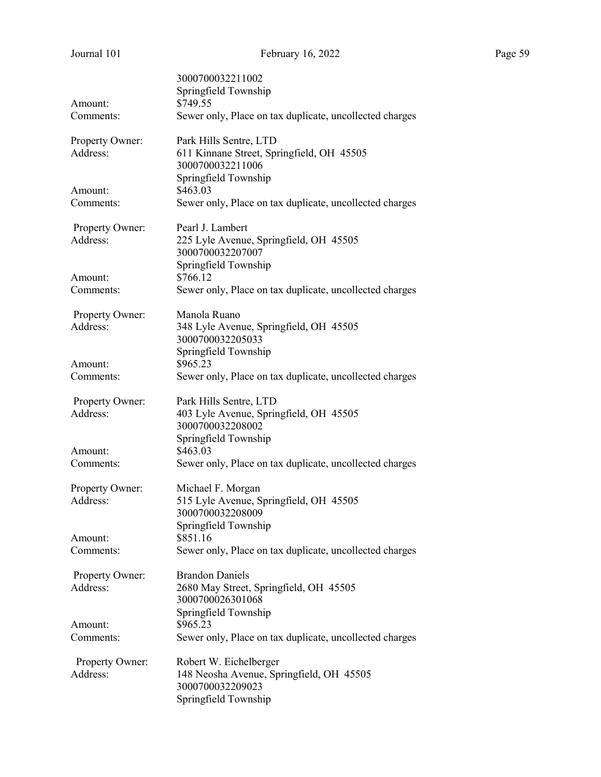| Journal 101          | February 16, 2022                                                   | Page 59 |
|----------------------|---------------------------------------------------------------------|---------|
|                      | 3000700032211002                                                    |         |
|                      | Springfield Township                                                |         |
| Amount:              | \$749.55                                                            |         |
| Comments:            | Sewer only, Place on tax duplicate, uncollected charges             |         |
| Property Owner:      | Park Hills Sentre, LTD                                              |         |
| Address:             | 611 Kinnane Street, Springfield, OH 45505                           |         |
|                      | 3000700032211006                                                    |         |
|                      | Springfield Township                                                |         |
| Amount:<br>Comments: | \$463.03<br>Sewer only, Place on tax duplicate, uncollected charges |         |
|                      |                                                                     |         |
| Property Owner:      | Pearl J. Lambert                                                    |         |
| Address:             | 225 Lyle Avenue, Springfield, OH 45505                              |         |
|                      | 3000700032207007                                                    |         |
|                      | Springfield Township                                                |         |
| Amount:<br>Comments: | \$766.12<br>Sewer only, Place on tax duplicate, uncollected charges |         |
|                      |                                                                     |         |
| Property Owner:      | Manola Ruano                                                        |         |
| Address:             | 348 Lyle Avenue, Springfield, OH 45505                              |         |
|                      | 3000700032205033                                                    |         |
|                      | Springfield Township                                                |         |
| Amount:<br>Comments: | \$965.23<br>Sewer only, Place on tax duplicate, uncollected charges |         |
|                      |                                                                     |         |
| Property Owner:      | Park Hills Sentre, LTD                                              |         |
| Address:             | 403 Lyle Avenue, Springfield, OH 45505                              |         |
|                      | 3000700032208002                                                    |         |
|                      | Springfield Township                                                |         |
| Amount:              | \$463.03                                                            |         |
| Comments:            | Sewer only, Place on tax duplicate, uncollected charges             |         |
| Property Owner:      | Michael F. Morgan                                                   |         |
| Address:             | 515 Lyle Avenue, Springfield, OH 45505                              |         |
|                      | 3000700032208009                                                    |         |
|                      | Springfield Township                                                |         |
| Amount:<br>Comments: | \$851.16                                                            |         |
|                      | Sewer only, Place on tax duplicate, uncollected charges             |         |
| Property Owner:      | <b>Brandon Daniels</b>                                              |         |
| Address:             | 2680 May Street, Springfield, OH 45505                              |         |
|                      | 3000700026301068                                                    |         |
| Amount:              | Springfield Township<br>\$965.23                                    |         |
|                      |                                                                     |         |

Comments: Sewer only, Place on tax duplicate, uncollected charges

Address: 148 Neosha Avenue, Springfield, OH 45505 3000700032209023 Springfield Township

Property Owner: Robert W. Eichelberger

| и |  |
|---|--|
|   |  |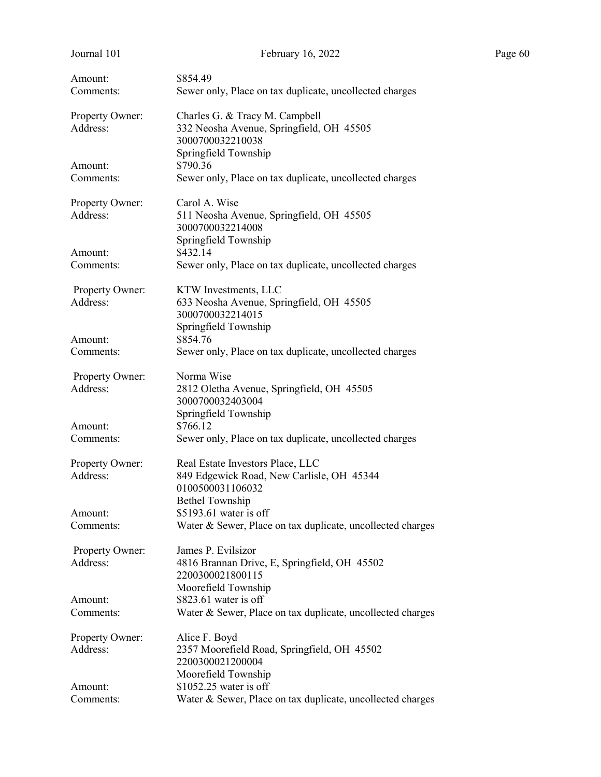| Journal 101          | February 16, 2022                                                | Page 60 |
|----------------------|------------------------------------------------------------------|---------|
| Amount:              | \$854.49                                                         |         |
| Comments:            | Sewer only, Place on tax duplicate, uncollected charges          |         |
| Property Owner:      | Charles G. & Tracy M. Campbell                                   |         |
| Address:             | 332 Neosha Avenue, Springfield, OH 45505<br>3000700032210038     |         |
|                      | Springfield Township<br>\$790.36                                 |         |
| Amount:<br>Comments: | Sewer only, Place on tax duplicate, uncollected charges          |         |
| Property Owner:      | Carol A. Wise                                                    |         |
| Address:             | 511 Neosha Avenue, Springfield, OH 45505<br>3000700032214008     |         |
|                      | Springfield Township<br>\$432.14                                 |         |
| Amount:<br>Comments: | Sewer only, Place on tax duplicate, uncollected charges          |         |
| Property Owner:      | KTW Investments, LLC                                             |         |
| Address:             | 633 Neosha Avenue, Springfield, OH 45505                         |         |
|                      | 3000700032214015<br>Springfield Township                         |         |
| Amount:              | \$854.76                                                         |         |
| Comments:            | Sewer only, Place on tax duplicate, uncollected charges          |         |
| Property Owner:      | Norma Wise                                                       |         |
| Address:             | 2812 Oletha Avenue, Springfield, OH 45505<br>3000700032403004    |         |
|                      | Springfield Township                                             |         |
| Amount:              | \$766.12                                                         |         |
| Comments:            | Sewer only, Place on tax duplicate, uncollected charges          |         |
| Property Owner:      | Real Estate Investors Place, LLC                                 |         |
| Address:             | 849 Edgewick Road, New Carlisle, OH 45344<br>0100500031106032    |         |
|                      | <b>Bethel Township</b>                                           |         |
| Amount:              | \$5193.61 water is off                                           |         |
| Comments:            | Water & Sewer, Place on tax duplicate, uncollected charges       |         |
| Property Owner:      | James P. Evilsizor                                               |         |
| Address:             | 4816 Brannan Drive, E, Springfield, OH 45502<br>2200300021800115 |         |
|                      | Moorefield Township                                              |         |
| Amount:              | \$823.61 water is off                                            |         |
| Comments:            | Water & Sewer, Place on tax duplicate, uncollected charges       |         |
| Property Owner:      | Alice F. Boyd                                                    |         |
| Address:             | 2357 Moorefield Road, Springfield, OH 45502<br>2200300021200004  |         |
|                      | Moorefield Township                                              |         |
| Amount:              | \$1052.25 water is off                                           |         |
| Comments:            | Water & Sewer, Place on tax duplicate, uncollected charges       |         |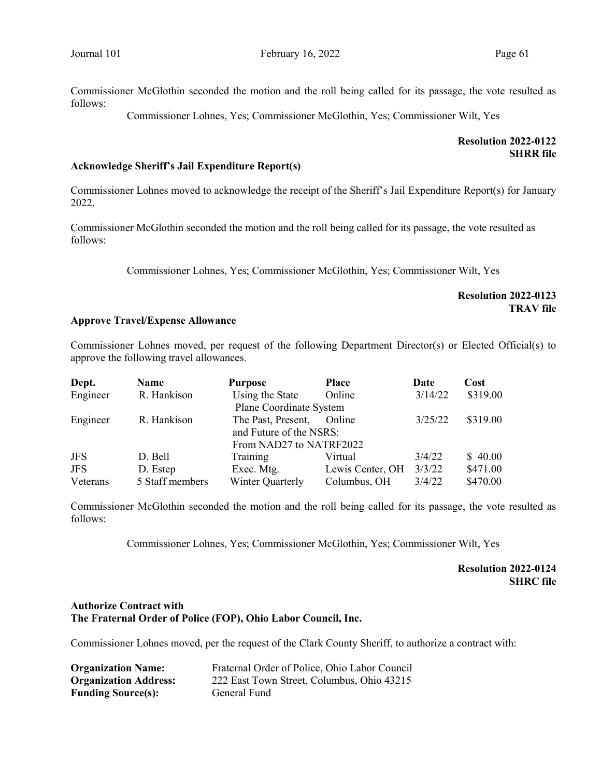Commissioner Lohnes, Yes; Commissioner McGlothin, Yes; Commissioner Wilt, Yes

# Resolution 2022-0122 **SHRR** file

### Acknowledge Sheriff's Jail Expenditure Report(s)

Commissioner Lohnes moved to acknowledge the receipt of the Sheriff's Jail Expenditure Report(s) for January 2022.

Commissioner McGlothin seconded the motion and the roll being called for its passage, the vote resulted as follows:

Commissioner Lohnes, Yes; Commissioner McGlothin, Yes; Commissioner Wilt, Yes

### Resolution 2022-0123 TRAV file

### Approve Travel/Expense Allowance

Commissioner Lohnes moved, per request of the following Department Director(s) or Elected Official(s) to approve the following travel allowances.

| Dept.      | Name            | <b>Purpose</b>          | <b>Place</b>     | Date    | Cost     |
|------------|-----------------|-------------------------|------------------|---------|----------|
| Engineer   | R. Hankison     | Using the State         | Online           | 3/14/22 | \$319.00 |
|            |                 | Plane Coordinate System |                  |         |          |
| Engineer   | R. Hankison     | The Past, Present,      | Online           | 3/25/22 | \$319.00 |
|            |                 | and Future of the NSRS: |                  |         |          |
|            |                 | From NAD27 to NATRF2022 |                  |         |          |
| <b>JFS</b> | D. Bell         | Training                | Virtual          | 3/4/22  | \$40.00  |
| <b>JFS</b> | D. Estep        | Exec. Mtg.              | Lewis Center, OH | 3/3/22  | \$471.00 |
| Veterans   | 5 Staff members | Winter Quarterly        | Columbus, OH     | 3/4/22  | \$470.00 |

Commissioner McGlothin seconded the motion and the roll being called for its passage, the vote resulted as follows:

Commissioner Lohnes, Yes; Commissioner McGlothin, Yes; Commissioner Wilt, Yes

# Resolution 2022-0124 SHRC file

### Authorize Contract with The Fraternal Order of Police (FOP), Ohio Labor Council, Inc.

Commissioner Lohnes moved, per the request of the Clark County Sheriff, to authorize a contract with:

| <b>Organization Name:</b>    | Fraternal Order of Police, Ohio Labor Council |
|------------------------------|-----------------------------------------------|
| <b>Organization Address:</b> | 222 East Town Street, Columbus, Ohio 43215    |
| <b>Funding Source(s):</b>    | General Fund                                  |